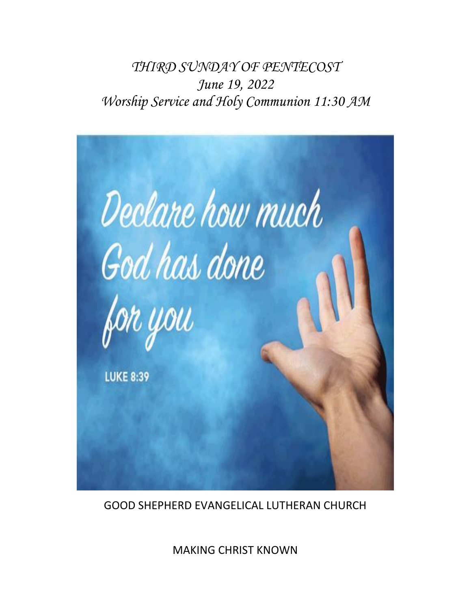*THIRD SUNDAY OF PENTECOST June 19, 2022 Worship Service and Holy Communion 11:30 AM*



GOOD SHEPHERD EVANGELICAL LUTHERAN CHURCH

MAKING CHRIST KNOWN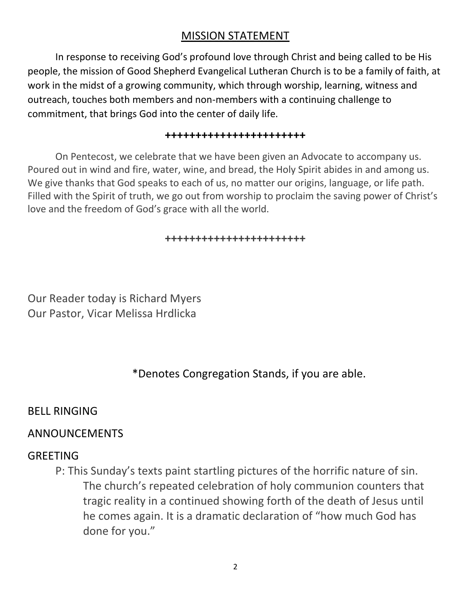#### MISSION STATEMENT

In response to receiving God's profound love through Christ and being called to be His people, the mission of Good Shepherd Evangelical Lutheran Church is to be a family of faith, at work in the midst of a growing community, which through worship, learning, witness and outreach, touches both members and non-members with a continuing challenge to commitment, that brings God into the center of daily life.

#### **+++++++++++++++++++++++**

On Pentecost, we celebrate that we have been given an Advocate to accompany us. Poured out in wind and fire, water, wine, and bread, the Holy Spirit abides in and among us. We give thanks that God speaks to each of us, no matter our origins, language, or life path. Filled with the Spirit of truth, we go out from worship to proclaim the saving power of Christ's love and the freedom of God's grace with all the world.

#### **+++++++++++++++++++++++**

Our Reader today is Richard Myers Our Pastor, Vicar Melissa Hrdlicka

#### \*Denotes Congregation Stands, if you are able.

#### BELL RINGING

#### ANNOUNCEMENTS

#### GREETING

P: This Sunday's texts paint startling pictures of the horrific nature of sin. The church's repeated celebration of holy communion counters that tragic reality in a continued showing forth of the death of Jesus until he comes again. It is a dramatic declaration of "how much God has done for you."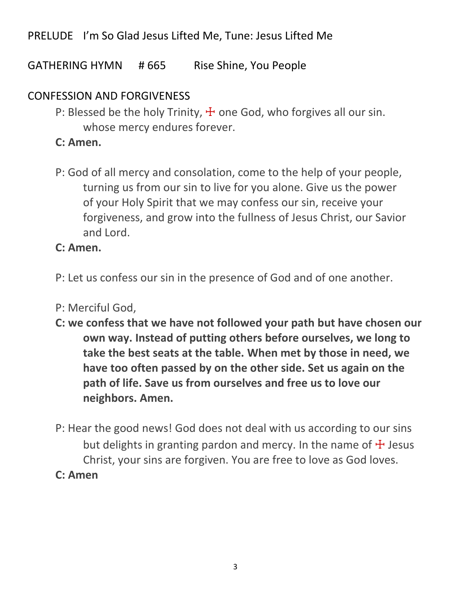## PRELUDE I'm So Glad Jesus Lifted Me, Tune: Jesus Lifted Me

GATHERING HYMN # 665 Rise Shine, You People

## CONFESSION AND FORGIVENESS

P: Blessed be the holy Trinity,  $\frac{1}{2}$  one God, who forgives all our sin. whose mercy endures forever.

#### **C: Amen.**

P: God of all mercy and consolation, come to the help of your people, turning us from our sin to live for you alone. Give us the power of your Holy Spirit that we may confess our sin, receive your forgiveness, and grow into the fullness of Jesus Christ, our Savior and Lord.

#### **C: Amen.**

- P: Let us confess our sin in the presence of God and of one another.
- P: Merciful God,
- **C: we confess that we have not followed your path but have chosen our own way. Instead of putting others before ourselves, we long to take the best seats at the table. When met by those in need, we have too often passed by on the other side. Set us again on the path of life. Save us from ourselves and free us to love our neighbors. Amen.**
- P: Hear the good news! God does not deal with us according to our sins but delights in granting pardon and mercy. In the name of  $\pm$  Jesus Christ, your sins are forgiven. You are free to love as God loves.
- **C: Amen**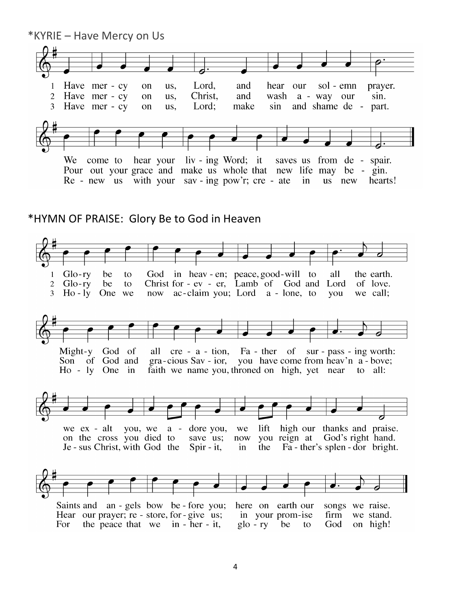

 $Glo-rv$  $\mathbf{1}$ be to God in heav-en; peace, good-will to all the earth.  $\overline{2}$  $Glo-rv$ be to Christ for - ev - er, Lamb of God and Lord of love. now ac-claim you; Lord a - lone, to  $3<sup>1</sup>$ One we  $Ho - ly$ you we call;



Might-y God of all  $cre - a - tion$ , Fa - ther of sur - pass - ing worth: you have come from heav'n a - bove; Son of God and gra-cious Sav - ior, faith we name you, throned on high, yet near to all:  $Ho - ly$  One in



Saints and an - gels bow be - fore you; here on earth our songs we raise. Hear our prayer; re - store, for - give us; firm in your prom-ise we stand. For the peace that we in - her - it,  $g$ lo - ry be to God on high!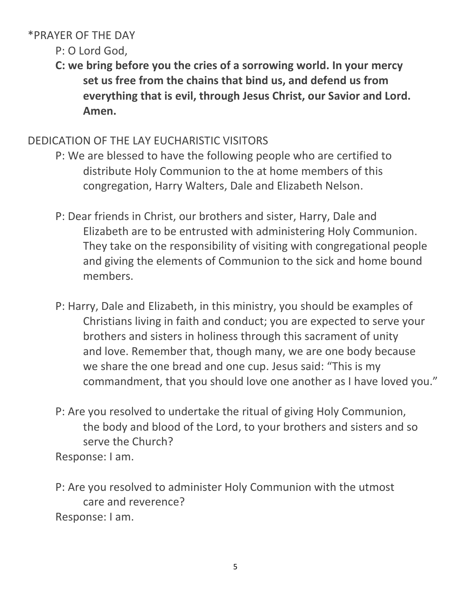#### \*PRAYER OF THE DAY

## P: O Lord God,

**C: we bring before you the cries of a sorrowing world. In your mercy set us free from the chains that bind us, and defend us from everything that is evil, through Jesus Christ, our Savior and Lord. Amen.**

## DEDICATION OF THE LAY EUCHARISTIC VISITORS

- P: We are blessed to have the following people who are certified to distribute Holy Communion to the at home members of this congregation, Harry Walters, Dale and Elizabeth Nelson.
- P: Dear friends in Christ, our brothers and sister, Harry, Dale and Elizabeth are to be entrusted with administering Holy Communion. They take on the responsibility of visiting with congregational people and giving the elements of Communion to the sick and home bound members.
- P: Harry, Dale and Elizabeth, in this ministry, you should be examples of Christians living in faith and conduct; you are expected to serve your brothers and sisters in holiness through this sacrament of unity and love. Remember that, though many, we are one body because we share the one bread and one cup. Jesus said: "This is my commandment, that you should love one another as I have loved you."
- P: Are you resolved to undertake the ritual of giving Holy Communion, the body and blood of the Lord, to your brothers and sisters and so serve the Church?

Response: I am.

P: Are you resolved to administer Holy Communion with the utmost care and reverence? Response: I am.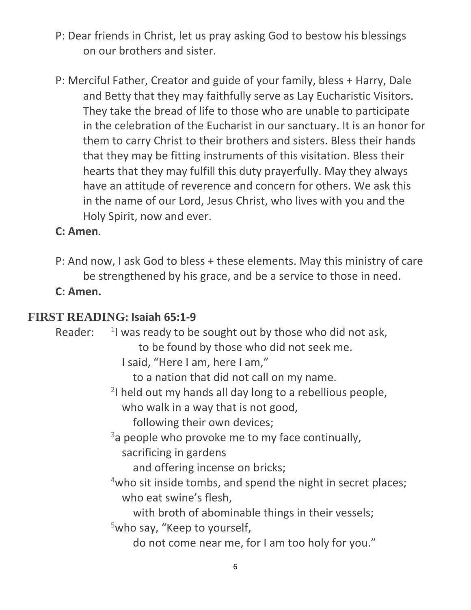- P: Dear friends in Christ, let us pray asking God to bestow his blessings on our brothers and sister.
- P: Merciful Father, Creator and guide of your family, bless + Harry, Dale and Betty that they may faithfully serve as Lay Eucharistic Visitors. They take the bread of life to those who are unable to participate in the celebration of the Eucharist in our sanctuary. It is an honor for them to carry Christ to their brothers and sisters. Bless their hands that they may be fitting instruments of this visitation. Bless their hearts that they may fulfill this duty prayerfully. May they always have an attitude of reverence and concern for others. We ask this in the name of our Lord, Jesus Christ, who lives with you and the Holy Spirit, now and ever.

## **C: Amen**.

P: And now, I ask God to bless + these elements. May this ministry of care be strengthened by his grace, and be a service to those in need.

**C: Amen.** 

#### **FIRST READING: Isaiah 65:1-9**

Reader:  $1$  was ready to be sought out by those who did not ask, to be found by those who did not seek me. I said, "Here I am, here I am," to a nation that did not call on my name. 2 I held out my hands all day long to a rebellious people, who walk in a way that is not good, following their own devices;  $3a$  people who provoke me to my face continually, sacrificing in gardens and offering incense on bricks;  $4$ who sit inside tombs, and spend the night in secret places; who eat swine's flesh, with broth of abominable things in their vessels; <sup>5</sup>who say, "Keep to yourself, do not come near me, for I am too holy for you."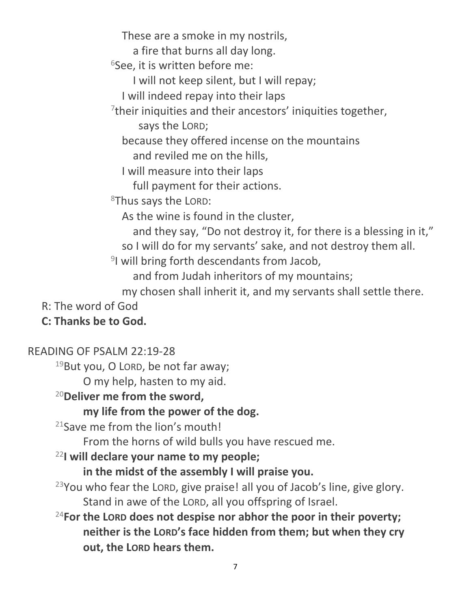These are a smoke in my nostrils,

a fire that burns all day long.

 $6$ See, it is written before me:

I will not keep silent, but I will repay;

I will indeed repay into their laps

 $7$ their iniquities and their ancestors' iniquities together,

says the LORD;

because they offered incense on the mountains

and reviled me on the hills,

I will measure into their laps

full payment for their actions.

<sup>8</sup>Thus says the LORD:

As the wine is found in the cluster,

and they say, "Do not destroy it, for there is a blessing in it," so I will do for my servants' sake, and not destroy them all.

<sup>9</sup>I will bring forth descendants from Jacob,

and from Judah inheritors of my mountains;

my chosen shall inherit it, and my servants shall settle there.

R: The word of God

# **C: Thanks be to God.**

## READING OF PSALM 22:19-28

<sup>19</sup>But you, O LORD, be not far away;

O my help, hasten to my aid.

# <sup>20</sup>**Deliver me from the sword,**

# **my life from the power of the dog.**

<sup>21</sup>Save me from the lion's mouth!

From the horns of wild bulls you have rescued me.

# <sup>22</sup>**I will declare your name to my people;**

**in the midst of the assembly I will praise you.**

 $23$ You who fear the LORD, give praise! all you of Jacob's line, give glory. Stand in awe of the LORD, all you offspring of Israel.

<sup>24</sup>**For the LORD does not despise nor abhor the poor in their poverty; neither is the LORD's face hidden from them; but when they cry out, the LORD hears them.**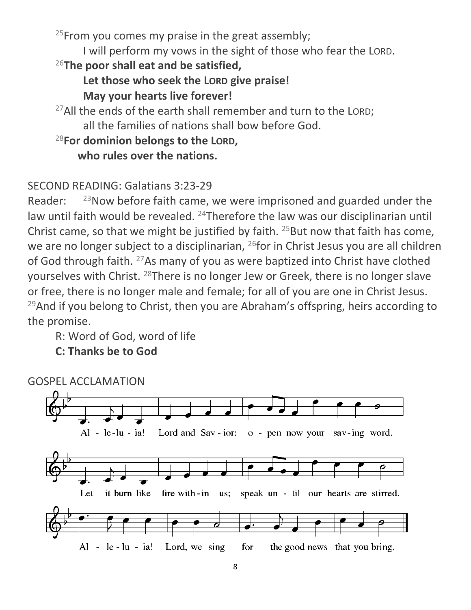<sup>25</sup>From you comes my praise in the great assembly; I will perform my vows in the sight of those who fear the LORD. <sup>26</sup>**The poor shall eat and be satisfied, Let those who seek the LORD give praise! May your hearts live forever!** <sup>27</sup>All the ends of the earth shall remember and turn to the LORD;

all the families of nations shall bow before God.

# <sup>28</sup>**For dominion belongs to the LORD,**

**who rules over the nations.**

# SECOND READING: Galatians 3:23-29

Reader:  $^{23}$ Now before faith came, we were imprisoned and guarded under the law until faith would be revealed. <sup>24</sup>Therefore the law was our disciplinarian until Christ came, so that we might be justified by faith.  $25$ But now that faith has come, we are no longer subject to a disciplinarian, <sup>26</sup>for in Christ Jesus you are all children of God through faith. <sup>27</sup>As many of you as were baptized into Christ have clothed yourselves with Christ. <sup>28</sup>There is no longer Jew or Greek, there is no longer slave or free, there is no longer male and female; for all of you are one in Christ Jesus.  $29$ And if you belong to Christ, then you are Abraham's offspring, heirs according to the promise.

R: Word of God, word of life

**C: Thanks be to God**

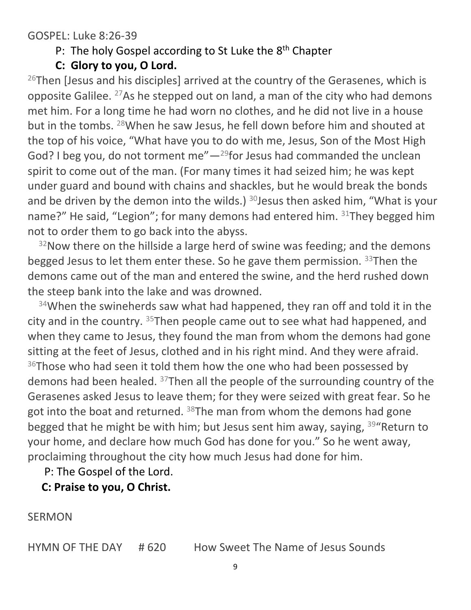#### GOSPEL: Luke 8:26-39

#### P: The holy Gospel according to St Luke the 8<sup>th</sup> Chapter

**C: Glory to you, O Lord.**

 $^{26}$ Then [Jesus and his disciples] arrived at the country of the Gerasenes, which is opposite Galilee. <sup>27</sup>As he stepped out on land, a man of the city who had demons met him. For a long time he had worn no clothes, and he did not live in a house but in the tombs. <sup>28</sup>When he saw Jesus, he fell down before him and shouted at the top of his voice, "What have you to do with me, Jesus, Son of the Most High God? I beg you, do not torment me" $-$ <sup>29</sup>for Jesus had commanded the unclean spirit to come out of the man. (For many times it had seized him; he was kept under guard and bound with chains and shackles, but he would break the bonds and be driven by the demon into the wilds.)  $30$  Jesus then asked him, "What is your name?" He said, "Legion"; for many demons had entered him. 31They begged him not to order them to go back into the abyss.

 $32$ Now there on the hillside a large herd of swine was feeding; and the demons begged Jesus to let them enter these. So he gave them permission.  $33$ Then the demons came out of the man and entered the swine, and the herd rushed down the steep bank into the lake and was drowned.

<sup>34</sup>When the swineherds saw what had happened, they ran off and told it in the city and in the country. <sup>35</sup>Then people came out to see what had happened, and when they came to Jesus, they found the man from whom the demons had gone sitting at the feet of Jesus, clothed and in his right mind. And they were afraid. <sup>36</sup>Those who had seen it told them how the one who had been possessed by demons had been healed. <sup>37</sup>Then all the people of the surrounding country of the Gerasenes asked Jesus to leave them; for they were seized with great fear. So he got into the boat and returned.  $38$ The man from whom the demons had gone begged that he might be with him; but Jesus sent him away, saying, <sup>39"</sup>Return to your home, and declare how much God has done for you." So he went away, proclaiming throughout the city how much Jesus had done for him.

P: The Gospel of the Lord.

 **C: Praise to you, O Christ.**

SERMON

HYMN OF THE DAY # 620 How Sweet The Name of Jesus Sounds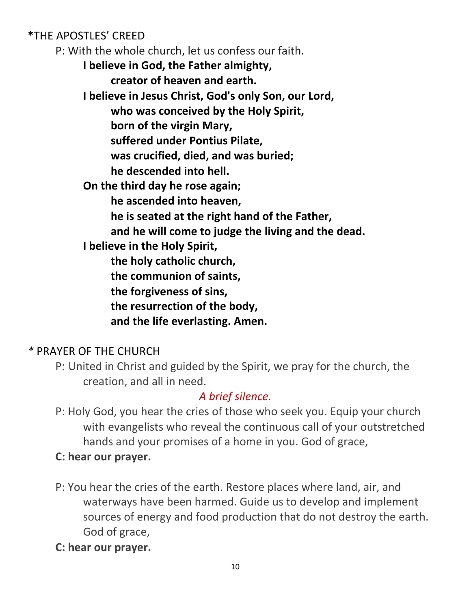**\***THE APOSTLES' CREED

P: With the whole church, let us confess our faith.

**I believe in God, the Father almighty, creator of heaven and earth.**

**I believe in Jesus Christ, God's only Son, our Lord, who was conceived by the Holy Spirit, born of the virgin Mary, suffered under Pontius Pilate,**

**was crucified, died, and was buried;**

**he descended into hell.**

**On the third day he rose again;**

**he ascended into heaven,**

**he is seated at the right hand of the Father,**

**and he will come to judge the living and the dead.**

**I believe in the Holy Spirit,**

**the holy catholic church,**

**the communion of saints,**

**the forgiveness of sins,**

**the resurrection of the body,**

**and the life everlasting. Amen.**

# *\** PRAYER OF THE CHURCH

P: United in Christ and guided by the Spirit, we pray for the church, the creation, and all in need.

## *A brief silence.*

P: Holy God, you hear the cries of those who seek you. Equip your church with evangelists who reveal the continuous call of your outstretched hands and your promises of a home in you. God of grace,

## **C: hear our prayer.**

- P: You hear the cries of the earth. Restore places where land, air, and waterways have been harmed. Guide us to develop and implement sources of energy and food production that do not destroy the earth. God of grace,
- **C: hear our prayer.**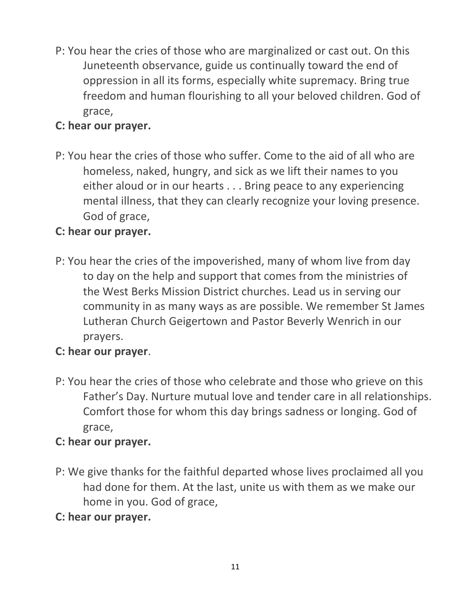P: You hear the cries of those who are marginalized or cast out. On this Juneteenth observance, guide us continually toward the end of oppression in all its forms, especially white supremacy. Bring true freedom and human flourishing to all your beloved children. God of grace,

#### **C: hear our prayer.**

P: You hear the cries of those who suffer. Come to the aid of all who are homeless, naked, hungry, and sick as we lift their names to you either aloud or in our hearts . . . Bring peace to any experiencing mental illness, that they can clearly recognize your loving presence. God of grace,

#### **C: hear our prayer.**

P: You hear the cries of the impoverished, many of whom live from day to day on the help and support that comes from the ministries of the West Berks Mission District churches. Lead us in serving our community in as many ways as are possible. We remember St James Lutheran Church Geigertown and Pastor Beverly Wenrich in our prayers.

#### **C: hear our prayer**.

P: You hear the cries of those who celebrate and those who grieve on this Father's Day. Nurture mutual love and tender care in all relationships. Comfort those for whom this day brings sadness or longing. God of grace,

#### **C: hear our prayer.**

P: We give thanks for the faithful departed whose lives proclaimed all you had done for them. At the last, unite us with them as we make our home in you. God of grace,

#### **C: hear our prayer.**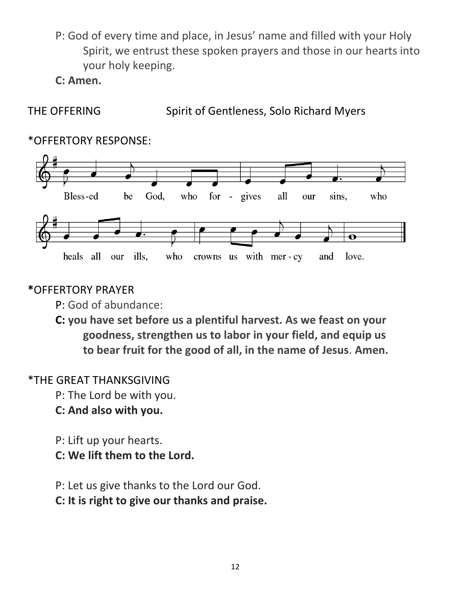P: God of every time and place, in Jesus' name and filled with your Holy Spirit, we entrust these spoken prayers and those in our hearts into your holy keeping.

**C: Amen.**

THE OFFERING Spirit of Gentleness, Solo Richard Myers

# \*OFFERTORY RESPONSE:



## **\***OFFERTORY PRAYER

- P: God of abundance:
- **C: you have set before us a plentiful harvest. As we feast on your goodness, strengthen us to labor in your field, and equip us to bear fruit for the good of all, in the name of Jesus**. **Amen.**

# \*THE GREAT THANKSGIVING

- P: The Lord be with you.
- **C: And also with you.**
- P: Lift up your hearts.
- **C: We lift them to the Lord.**
- P: Let us give thanks to the Lord our God.
- **C: It is right to give our thanks and praise.**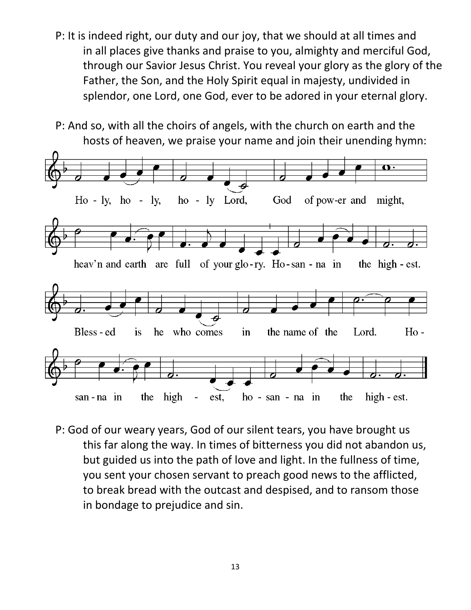P: It is indeed right, our duty and our joy, that we should at all times and in all places give thanks and praise to you, almighty and merciful God, through our Savior Jesus Christ. You reveal your glory as the glory of the Father, the Son, and the Holy Spirit equal in majesty, undivided in splendor, one Lord, one God, ever to be adored in your eternal glory.

P: And so, with all the choirs of angels, with the church on earth and the hosts of heaven, we praise your name and join their unending hymn:



P: God of our weary years, God of our silent tears, you have brought us this far along the way. In times of bitterness you did not abandon us, but guided us into the path of love and light. In the fullness of time, you sent your chosen servant to preach good news to the afflicted, to break bread with the outcast and despised, and to ransom those in bondage to prejudice and sin.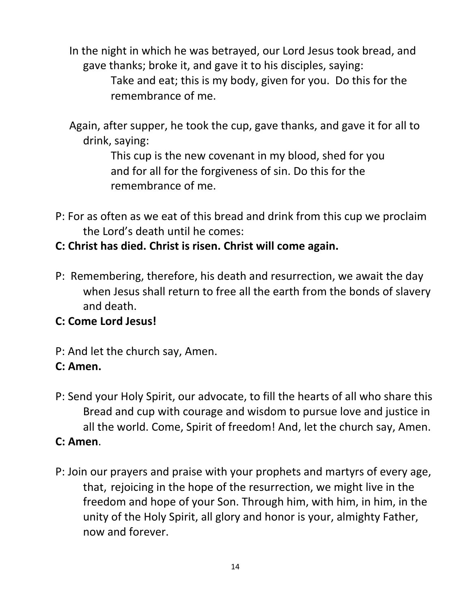In the night in which he was betrayed, our Lord Jesus took bread, and gave thanks; broke it, and gave it to his disciples, saying: Take and eat; this is my body, given for you. Do this for the remembrance of me.

 Again, after supper, he took the cup, gave thanks, and gave it for all to drink, saying:

> This cup is the new covenant in my blood, shed for you and for all for the forgiveness of sin. Do this for the remembrance of me.

P: For as often as we eat of this bread and drink from this cup we proclaim the Lord's death until he comes:

## **C: Christ has died. Christ is risen. Christ will come again.**

P: Remembering, therefore, his death and resurrection, we await the day when Jesus shall return to free all the earth from the bonds of slavery and death.

## **C: Come Lord Jesus!**

P: And let the church say, Amen.

## **C: Amen.**

- P: Send your Holy Spirit, our advocate, to fill the hearts of all who share this Bread and cup with courage and wisdom to pursue love and justice in all the world. Come, Spirit of freedom! And, let the church say, Amen. **C: Amen**.
- P: Join our prayers and praise with your prophets and martyrs of every age, that, rejoicing in the hope of the resurrection, we might live in the freedom and hope of your Son. Through him, with him, in him, in the unity of the Holy Spirit, all glory and honor is your, almighty Father, now and forever.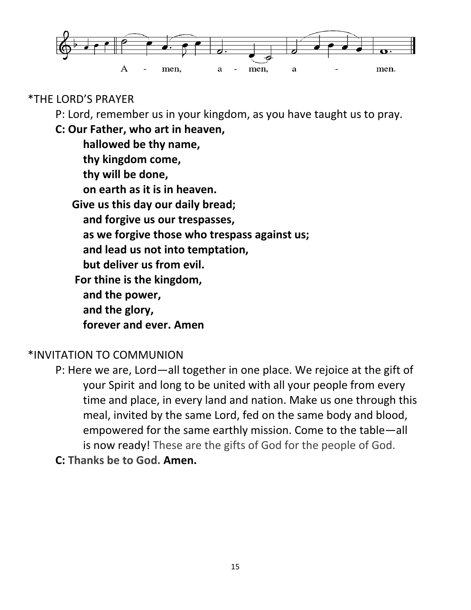

#### \*THE LORD'S PRAYER

P: Lord, remember us in your kingdom, as you have taught us to pray.

**C: Our Father, who art in heaven,** 

| hallowed be thy name,                        |
|----------------------------------------------|
| thy kingdom come,                            |
| thy will be done,                            |
| on earth as it is in heaven.                 |
| Give us this day our daily bread;            |
| and forgive us our trespasses,               |
| as we forgive those who trespass against us; |
| and lead us not into temptation,             |
| but deliver us from evil.                    |
| For thine is the kingdom,                    |
| and the power,                               |
| and the glory,                               |
| forever and ever. Amen                       |

#### \*INVITATION TO COMMUNION

P: Here we are, Lord—all together in one place. We rejoice at the gift of your Spirit and long to be united with all your people from every time and place, in every land and nation. Make us one through this meal, invited by the same Lord, fed on the same body and blood, empowered for the same earthly mission. Come to the table—all is now ready! These are the gifts of God for the people of God.

**C: Thanks be to God. Amen.**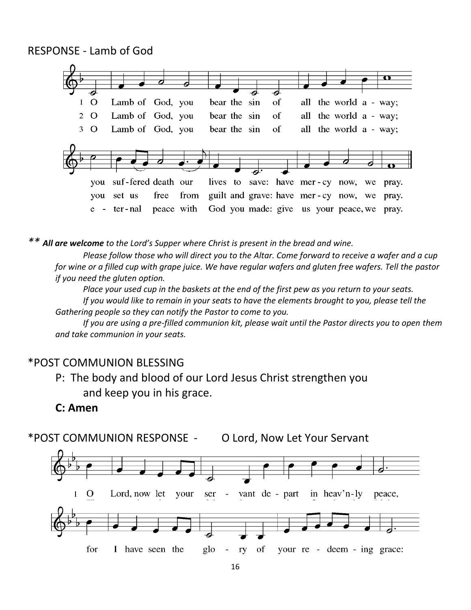RESPONSE - Lamb of God



*\*\* All are welcome to the Lord's Supper where Christ is present in the bread and wine.* 

*Please follow those who will direct you to the Altar. Come forward to receive a wafer and a cup for wine or a filled cup with grape juice. We have regular wafers and gluten free wafers. Tell the pastor if you need the gluten option.* 

*Place your used cup in the baskets at the end of the first pew as you return to your seats. If you would like to remain in your seats to have the elements brought to you, please tell the Gathering people so they can notify the Pastor to come to you.* 

*If you are using a pre-filled communion kit, please wait until the Pastor directs you to open them and take communion in your seats.*

#### \*POST COMMUNION BLESSING

P: The body and blood of our Lord Jesus Christ strengthen you and keep you in his grace.

#### **C: Amen**

\*POST COMMUNION RESPONSE - O Lord, Now Let Your Servant

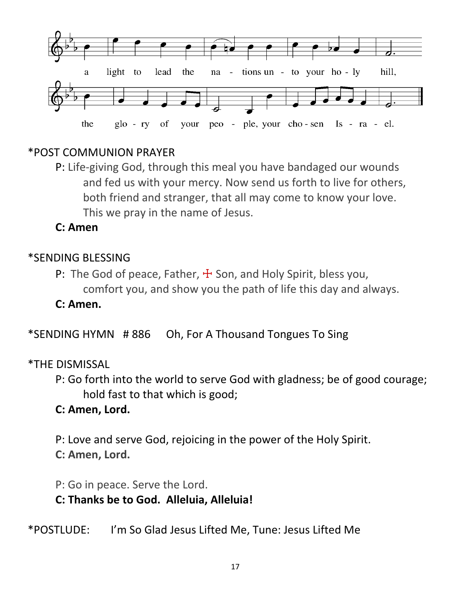

#### \*POST COMMUNION PRAYER

P: Life-giving God, through this meal you have bandaged our wounds and fed us with your mercy. Now send us forth to live for others, both friend and stranger, that all may come to know your love. This we pray in the name of Jesus.

**C: Amen** 

#### \*SENDING BLESSING

P: The God of peace, Father,  $\pm$  Son, and Holy Spirit, bless you, comfort you, and show you the path of life this day and always.

**C: Amen.**

\*SENDING HYMN # 886 Oh, For A Thousand Tongues To Sing

#### \*THE DISMISSAL

P: Go forth into the world to serve God with gladness; be of good courage; hold fast to that which is good;

#### **C: Amen, Lord.**

P: Love and serve God, rejoicing in the power of the Holy Spirit.

**C: Amen, Lord.**

P: Go in peace. Serve the Lord.

## **C: Thanks be to God. Alleluia, Alleluia!**

\*POSTLUDE: I'm So Glad Jesus Lifted Me, Tune: Jesus Lifted Me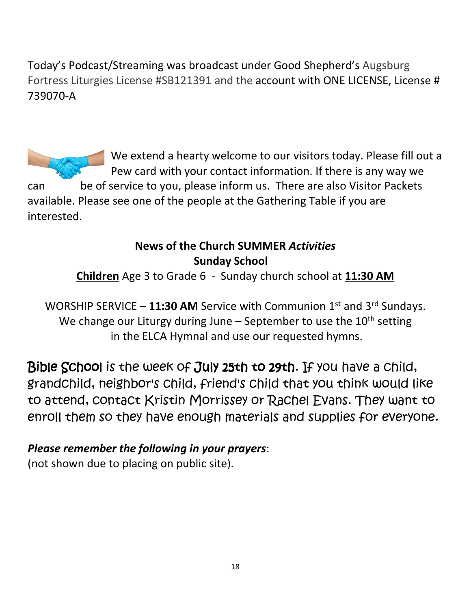Today's Podcast/Streaming was broadcast under Good Shepherd's Augsburg Fortress Liturgies License #SB121391 and the account with ONE LICENSE, License # 739070-A

We extend a hearty welcome to our visitors today. Please fill out a Pew card with your contact information. If there is any way we can be of service to you, please inform us. There are also Visitor Packets available. Please see one of the people at the Gathering Table if you are interested.

## **News of the Church SUMMER** *Activities* **Sunday School**

**Children** Age 3 to Grade 6 - Sunday church school at **11:30 AM**

WORSHIP SERVICE - 11:30 AM Service with Communion 1<sup>st</sup> and 3<sup>rd</sup> Sundays. We change our Liturgy during June – September to use the  $10<sup>th</sup>$  setting in the ELCA Hymnal and use our requested hymns.

Bible School is the week of July 25th to 29th. If you have a child, grandchild, neighbor's child, friend's child that you think would like to attend, contact Kristin Morrissey or Rachel Evans. They want to enroll them so they have enough materials and supplies for everyone.

# *Please remember the following in your prayers*:

(not shown due to placing on public site).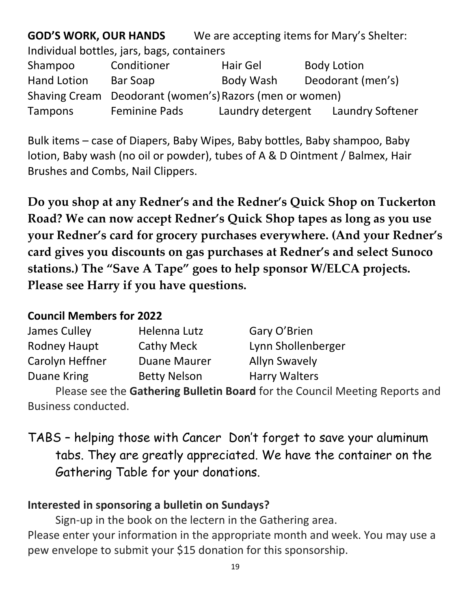**GOD'S WORK, OUR HANDS** We are accepting items for Mary's Shelter: Individual bottles, jars, bags, containers Shampoo Conditioner Hair Gel Body Lotion Hand Lotion Bar Soap Body Wash Deodorant (men's) Shaving Cream Deodorant (women's) Razors (men or women) Tampons Feminine Pads Laundry detergent Laundry Softener

Bulk items – case of Diapers, Baby Wipes, Baby bottles, Baby shampoo, Baby lotion, Baby wash (no oil or powder), tubes of A & D Ointment / Balmex, Hair Brushes and Combs, Nail Clippers.

**Do you shop at any Redner's and the Redner's Quick Shop on Tuckerton Road? We can now accept Redner's Quick Shop tapes as long as you use your Redner's card for grocery purchases everywhere. (And your Redner's card gives you discounts on gas purchases at Redner's and select Sunoco stations.) The "Save A Tape" goes to help sponsor W/ELCA projects. Please see Harry if you have questions.** 

#### **Council Members for 2022**

| James Culley        | Helenna Lutz        | Gary O'Brien         |
|---------------------|---------------------|----------------------|
| <b>Rodney Haupt</b> | <b>Cathy Meck</b>   | Lynn Shollenberger   |
| Carolyn Heffner     | <b>Duane Maurer</b> | <b>Allyn Swavely</b> |
| Duane Kring         | <b>Betty Nelson</b> | <b>Harry Walters</b> |

Please see the **Gathering Bulletin Board** for the Council Meeting Reports and Business conducted.

TABS – helping those with Cancer Don't forget to save your aluminum tabs. They are greatly appreciated. We have the container on the Gathering Table for your donations.

#### **Interested in sponsoring a bulletin on Sundays?**

Sign-up in the book on the lectern in the Gathering area. Please enter your information in the appropriate month and week. You may use a pew envelope to submit your \$15 donation for this sponsorship.